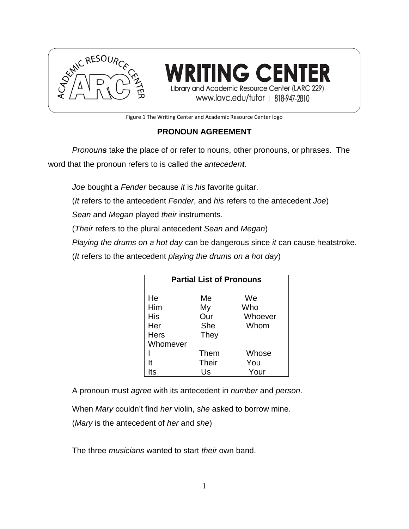

**RITING CENTER** Library and Academic Resource Center (LARC 229) www.lavc.edu/tutor | 818-947-2810

Figure 1 The Writing Center and Academic Resource Center logo

# **PRONOUN AGREEMENT**

*Pronouns* take the place of or refer to nouns, other pronouns, or phrases. The word that the pronoun refers to is called the *antecedent*.

*Joe* bought a *Fender* because *it* is *his* favorite guitar.

(*It* refers to the antecedent *Fender*, and *his* refers to the antecedent *Joe*)

*Sean* and *Megan* played *their* instruments.

(*Their* refers to the plural antecedent *Sean* and *Megan*)

*Playing the drums on a hot day* can be dangerous since *it* can cause heatstroke.

(*It* refers to the antecedent *playing the drums on a hot day*)

| <b>Partial List of Pronouns</b>        |                                |                              |  |
|----------------------------------------|--------------------------------|------------------------------|--|
| He<br>Him<br>His<br>Her<br><b>Hers</b> | Me<br>My<br>Our<br>She<br>They | We<br>Who<br>Whoever<br>Whom |  |
| Whomever                               |                                |                              |  |
|                                        | Them                           | Whose                        |  |
| It                                     | <b>Their</b>                   | You                          |  |
| its                                    | Us                             | Your                         |  |

A pronoun must *agree* with its antecedent in *number* and *person*.

When *Mary* couldn't find *her* violin, *she* asked to borrow mine.

(*Mary* is the antecedent of *her* and *she*)

The three *musicians* wanted to start *their* own band.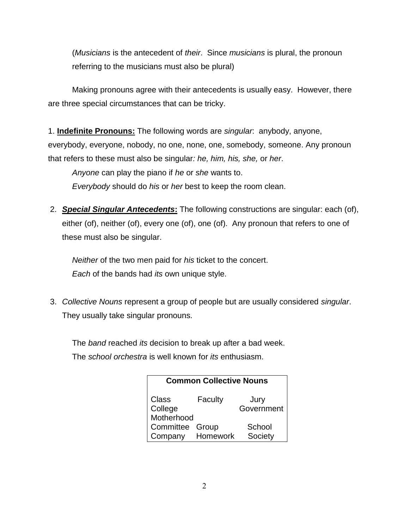(*Musicians* is the antecedent of *their*. Since *musicians* is plural, the pronoun referring to the musicians must also be plural)

Making pronouns agree with their antecedents is usually easy. However, there are three special circumstances that can be tricky.

1. **Indefinite Pronouns:** The following words are *singular*: anybody, anyone, everybody, everyone, nobody, no one, none, one, somebody, someone. Any pronoun that refers to these must also be singular*: he, him, his, she,* or *her*.

*Anyone* can play the piano if *he* or *she* wants to. *Everybody* should do *his* or *her* best to keep the room clean.

2. *Special Singular Antecedents***:** The following constructions are singular: each (of), either (of), neither (of), every one (of), one (of). Any pronoun that refers to one of these must also be singular.

*Neither* of the two men paid for *his* ticket to the concert. *Each* of the bands had *its* own unique style.

3. *Collective Nouns* represent a group of people but are usually considered *singular*. They usually take singular pronouns.

The *band* reached *its* decision to break up after a bad week.

The *school orchestra* is well known for *its* enthusiasm.

| <b>Common Collective Nouns</b>        |          |                    |  |
|---------------------------------------|----------|--------------------|--|
| <b>Class</b><br>College<br>Motherhood | Faculty  | Jury<br>Government |  |
| Committee Group<br>Company            | Homework | School<br>Society  |  |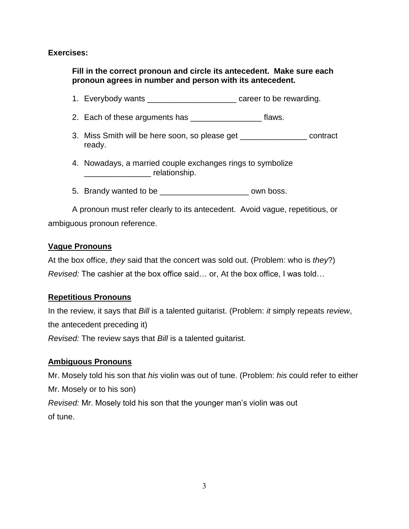#### **Exercises:**

**Fill in the correct pronoun and circle its antecedent. Make sure each pronoun agrees in number and person with its antecedent.**

- 1. Everybody wants \_\_\_\_\_\_\_\_\_\_\_\_\_\_\_\_\_\_\_\_ career to be rewarding.
- 2. Each of these arguments has \_\_\_\_\_\_\_\_\_\_\_\_\_\_\_\_\_\_\_ flaws.
- 3. Miss Smith will be here soon, so please get \_\_\_\_\_\_\_\_\_\_\_\_\_\_\_ contract ready.
- 4. Nowadays, a married couple exchanges rings to symbolize \_\_\_\_\_\_\_\_\_\_\_\_\_\_\_ relationship.
- 5. Brandy wanted to be \_\_\_\_\_\_\_\_\_\_\_\_\_\_\_\_\_\_\_\_ own boss.

A pronoun must refer clearly to its antecedent. Avoid vague, repetitious, or ambiguous pronoun reference.

#### **Vague Pronouns**

At the box office, *they* said that the concert was sold out. (Problem: who is *they*?) *Revised:* The cashier at the box office said… or, At the box office, I was told…

# **Repetitious Pronouns**

In the review, it says that *Bill* is a talented guitarist. (Problem: *it* simply repeats *review*, the antecedent preceding it) *Revised:* The review says that *Bill* is a talented guitarist.

# **Ambiguous Pronouns**

Mr. Mosely told his son that *his* violin was out of tune. (Problem: *his* could refer to either Mr. Mosely or to his son) *Revised:* Mr. Mosely told his son that the younger man's violin was out of tune.